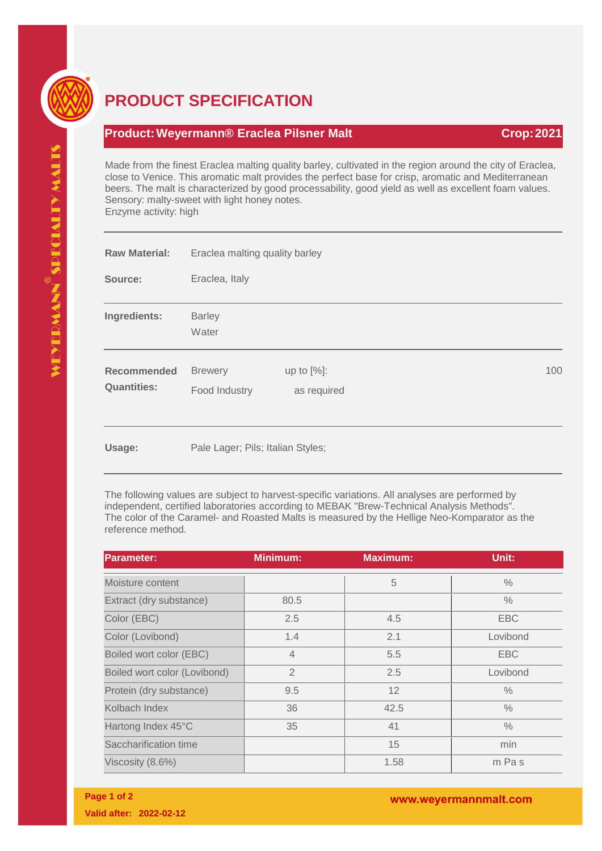

## **PRODUCT SPECIFICATION**

## **Product:Weyermann® Eraclea Pilsner Malt Crop:2021**

Made from the finest Eraclea malting quality barley, cultivated in the region around the city of Eraclea, close to Venice. This aromatic malt provides the perfect base for crisp, aromatic and Mediterranean beers. The malt is characterized by good processability, good yield as well as excellent foam values. Sensory: malty-sweet with light honey notes. Enzyme activity: high

| <b>Raw Material:</b>                     | Eraclea malting quality barley    |                              |  |  |     |
|------------------------------------------|-----------------------------------|------------------------------|--|--|-----|
| Source:                                  | Eraclea, Italy                    |                              |  |  |     |
| Ingredients:                             | <b>Barley</b><br>Water            |                              |  |  |     |
| <b>Recommended</b><br><b>Quantities:</b> | <b>Brewery</b><br>Food Industry   | up to $[%]$ :<br>as required |  |  | 100 |
| Usage:                                   | Pale Lager; Pils; Italian Styles; |                              |  |  |     |

The following values are subject to harvest-specific variations. All analyses are performed by independent, certified laboratories according to MEBAK "Brew-Technical Analysis Methods". The color of the Caramel- and Roasted Malts is measured by the Hellige Neo-Komparator as the reference method.

| <b>Parameter:</b>            | <b>Minimum:</b> | <b>Maximum:</b> | Unit:         |
|------------------------------|-----------------|-----------------|---------------|
| Moisture content             |                 | 5               | $\%$          |
| Extract (dry substance)      | 80.5            |                 | $\frac{0}{0}$ |
| Color (EBC)                  | 2.5             | 4.5             | <b>EBC</b>    |
| Color (Lovibond)             | 1.4             | 2.1             | Lovibond      |
| Boiled wort color (EBC)      | $\overline{4}$  | 5.5             | <b>EBC</b>    |
| Boiled wort color (Lovibond) | $\overline{2}$  | 2.5             | Lovibond      |
| Protein (dry substance)      | 9.5             | 12              | $\frac{0}{0}$ |
| Kolbach Index                | 36              | 42.5            | $\frac{0}{0}$ |
| Hartong Index 45°C           | 35              | 41              | $\frac{0}{0}$ |
| Saccharification time        |                 | 15              | min           |
| Viscosity (8.6%)             |                 | 1.58            | m Pas         |